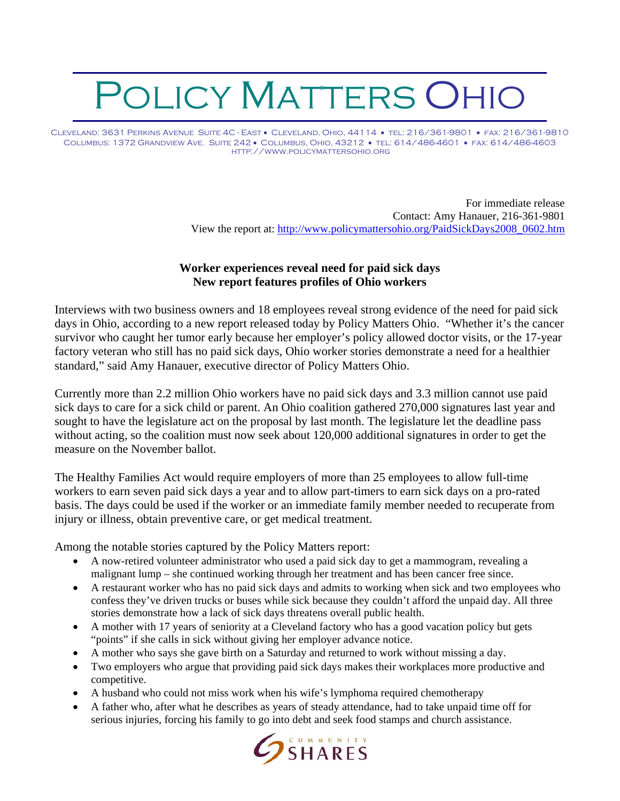## POLICY MATTERS OHIO

Cleveland: 3631 Perkins Avenue Suite 4C - East • Cleveland, Ohio, 44114 • tel: 216/361-9801 • fax: 216/361-9810 Columbus: 1372 Grandview Ave. Suite 242 • Columbus, Ohio, 43212 • tel: 614/486-4601 • fax: 614/486-4603 http://www.policymattersohio.org

> For immediate release Contact: Amy Hanauer, 216-361-9801 View the report at: [http://www.policymattersohio.org/PaidSickDays2008\\_0602.htm](http://www.policymattersohio.org/PaidSickDays2008_0602.htm)

## **Worker experiences reveal need for paid sick days New report features profiles of Ohio workers**

Interviews with two business owners and 18 employees reveal strong evidence of the need for paid sick days in Ohio, according to a new report released today by Policy Matters Ohio. "Whether it's the cancer survivor who caught her tumor early because her employer's policy allowed doctor visits, or the 17-year factory veteran who still has no paid sick days, Ohio worker stories demonstrate a need for a healthier standard," said Amy Hanauer, executive director of Policy Matters Ohio.

Currently more than 2.2 million Ohio workers have no paid sick days and 3.3 million cannot use paid sick days to care for a sick child or parent. An Ohio coalition gathered 270,000 signatures last year and sought to have the legislature act on the proposal by last month. The legislature let the deadline pass without acting, so the coalition must now seek about 120,000 additional signatures in order to get the measure on the November ballot.

The Healthy Families Act would require employers of more than 25 employees to allow full-time workers to earn seven paid sick days a year and to allow part-timers to earn sick days on a pro-rated basis. The days could be used if the worker or an immediate family member needed to recuperate from injury or illness, obtain preventive care, or get medical treatment.

Among the notable stories captured by the Policy Matters report:

- A now-retired volunteer administrator who used a paid sick day to get a mammogram, revealing a malignant lump – she continued working through her treatment and has been cancer free since.
- A restaurant worker who has no paid sick days and admits to working when sick and two employees who confess they've driven trucks or buses while sick because they couldn't afford the unpaid day. All three stories demonstrate how a lack of sick days threatens overall public health.
- A mother with 17 years of seniority at a Cleveland factory who has a good vacation policy but gets "points" if she calls in sick without giving her employer advance notice.
- A mother who says she gave birth on a Saturday and returned to work without missing a day.
- Two employers who argue that providing paid sick days makes their workplaces more productive and competitive.
- A husband who could not miss work when his wife's lymphoma required chemotherapy
- A father who, after what he describes as years of steady attendance, had to take unpaid time off for serious injuries, forcing his family to go into debt and seek food stamps and church assistance.